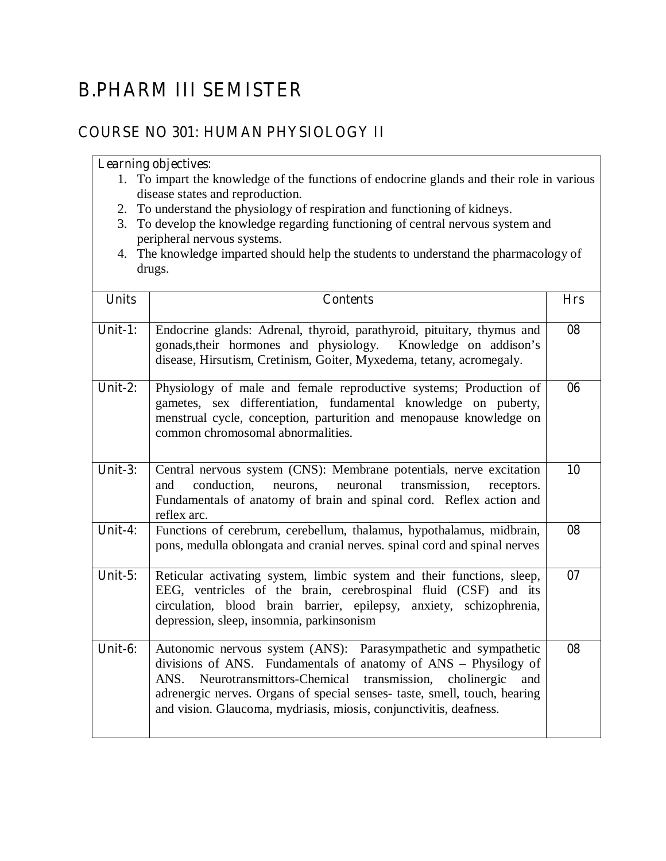# **B.PHARM III SEMISTER**

# **COURSE NO 301: HUMAN PHYSIOLOGY II**

- 1. To impart the knowledge of the functions of endocrine glands and their role in various disease states and reproduction.
- 2. To understand the physiology of respiration and functioning of kidneys.
- 3. To develop the knowledge regarding functioning of central nervous system and peripheral nervous systems.
- 4. The knowledge imparted should help the students to understand the pharmacology of drugs.

| <b>Units</b> | <b>Contents</b>                                                                                                                                                                                                                                                                                                                                           | <b>Hrs</b> |
|--------------|-----------------------------------------------------------------------------------------------------------------------------------------------------------------------------------------------------------------------------------------------------------------------------------------------------------------------------------------------------------|------------|
| Unit-1:      | Endocrine glands: Adrenal, thyroid, parathyroid, pituitary, thymus and<br>gonads, their hormones and physiology. Knowledge on addison's<br>disease, Hirsutism, Cretinism, Goiter, Myxedema, tetany, acromegaly.                                                                                                                                           | 08         |
| Unit-2:      | Physiology of male and female reproductive systems; Production of<br>gametes, sex differentiation, fundamental knowledge on puberty,<br>menstrual cycle, conception, parturition and menopause knowledge on<br>common chromosomal abnormalities.                                                                                                          | 06         |
| Unit- $3:$   | Central nervous system (CNS): Membrane potentials, nerve excitation<br>conduction,<br>neurons, neuronal transmission,<br>and<br>receptors.<br>Fundamentals of anatomy of brain and spinal cord. Reflex action and<br>reflex arc.                                                                                                                          | 10         |
| Unit-4:      | Functions of cerebrum, cerebellum, thalamus, hypothalamus, midbrain,<br>pons, medulla oblongata and cranial nerves. spinal cord and spinal nerves                                                                                                                                                                                                         | 08         |
| Unit- $5:$   | Reticular activating system, limbic system and their functions, sleep,<br>EEG, ventricles of the brain, cerebrospinal fluid (CSF) and its<br>circulation, blood brain barrier, epilepsy, anxiety, schizophrenia,<br>depression, sleep, insomnia, parkinsonism                                                                                             | 07         |
| Unit-6:      | Autonomic nervous system (ANS): Parasympathetic and sympathetic<br>divisions of ANS. Fundamentals of anatomy of ANS - Physilogy of<br>ANS. Neurotransmittors-Chemical transmission, cholinergic<br>and<br>adrenergic nerves. Organs of special senses- taste, smell, touch, hearing<br>and vision. Glaucoma, mydriasis, miosis, conjunctivitis, deafness. | 08         |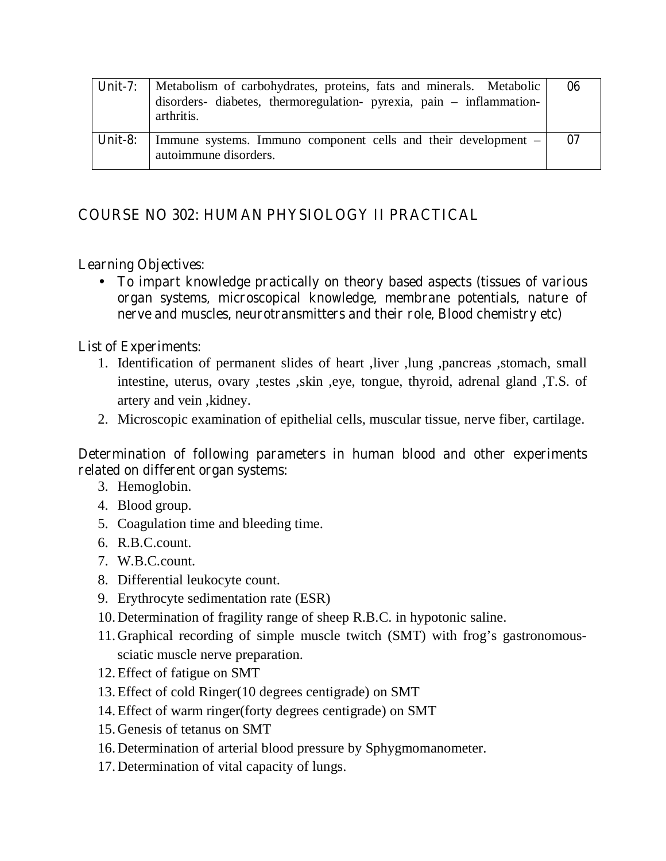| Unit- $7:$ | Metabolism of carbohydrates, proteins, fats and minerals. Metabolic<br>disorders- diabetes, thermoregulation- pyrexia, pain – inflammation-<br>arthritis. | 06 |
|------------|-----------------------------------------------------------------------------------------------------------------------------------------------------------|----|
| Unit-8:    | Immune systems. Immuno component cells and their development $-$<br>autoimmune disorders.                                                                 | 07 |

# **COURSE NO 302: HUMAN PHYSIOLOGY II PRACTICAL**

# **Learning Objectives:**

• **To impart knowledge practically on theory based aspects (tissues of various organ systems, microscopical knowledge, membrane potentials, nature of nerve and muscles, neurotransmitters and their role, Blood chemistry etc)** 

## **List of Experiments:**

- 1. Identification of permanent slides of heart ,liver ,lung ,pancreas ,stomach, small intestine, uterus, ovary ,testes ,skin ,eye, tongue, thyroid, adrenal gland ,T.S. of artery and vein ,kidney.
- 2. Microscopic examination of epithelial cells, muscular tissue, nerve fiber, cartilage.

### **Determination of following parameters in human blood and other experiments related on different organ systems:**

- 3. Hemoglobin.
- 4. Blood group.
- 5. Coagulation time and bleeding time.
- 6. R.B.C.count.
- 7. W.B.C.count.
- 8. Differential leukocyte count.
- 9. Erythrocyte sedimentation rate (ESR)
- 10.Determination of fragility range of sheep R.B.C. in hypotonic saline.
- 11.Graphical recording of simple muscle twitch (SMT) with frog's gastronomoussciatic muscle nerve preparation.
- 12.Effect of fatigue on SMT
- 13.Effect of cold Ringer(10 degrees centigrade) on SMT
- 14.Effect of warm ringer(forty degrees centigrade) on SMT
- 15.Genesis of tetanus on SMT
- 16.Determination of arterial blood pressure by Sphygmomanometer.
- 17.Determination of vital capacity of lungs.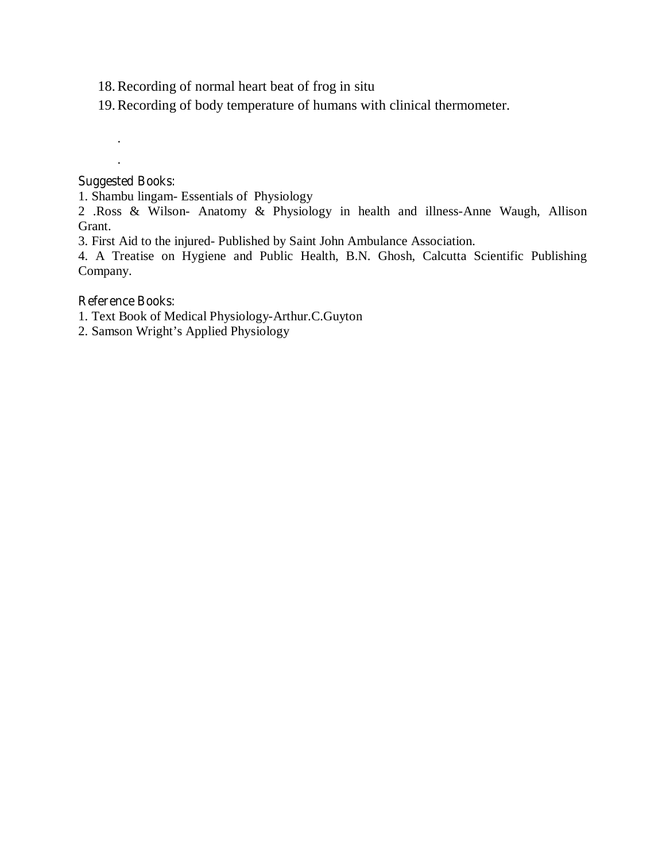- 18.Recording of normal heart beat of frog in situ
- 19.Recording of body temperature of humans with clinical thermometer.

#### **Suggested Books:**

. .

1. Shambu lingam- Essentials of Physiology

2 .Ross & Wilson- Anatomy & Physiology in health and illness-Anne Waugh, Allison Grant.

3. First Aid to the injured- Published by Saint John Ambulance Association.

4. A Treatise on Hygiene and Public Health, B.N. Ghosh, Calcutta Scientific Publishing Company.

#### **Reference Books:**

1. Text Book of Medical Physiology-Arthur.C.Guyton

2. Samson Wright's Applied Physiology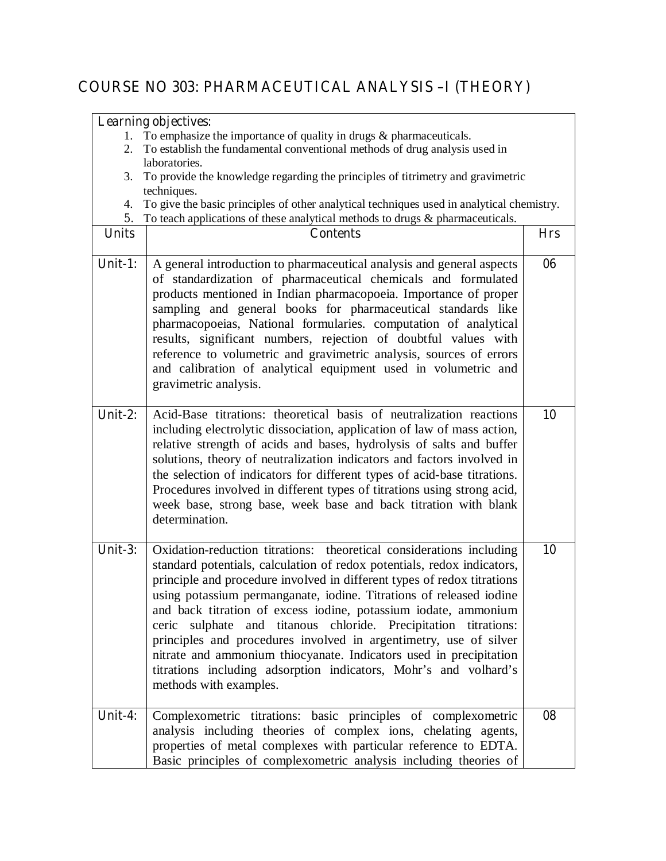# **COURSE NO 303: PHARMACEUTICAL ANALYSIS –I (THEORY)**

|              | <b>Learning objectives:</b>                                                                                                                                                                                                                                                                                                                                                                                                                                                                                                                                                                                                                                                      |            |
|--------------|----------------------------------------------------------------------------------------------------------------------------------------------------------------------------------------------------------------------------------------------------------------------------------------------------------------------------------------------------------------------------------------------------------------------------------------------------------------------------------------------------------------------------------------------------------------------------------------------------------------------------------------------------------------------------------|------------|
| 1.           | To emphasize the importance of quality in drugs $\&$ pharmaceuticals.                                                                                                                                                                                                                                                                                                                                                                                                                                                                                                                                                                                                            |            |
| 2.           | To establish the fundamental conventional methods of drug analysis used in                                                                                                                                                                                                                                                                                                                                                                                                                                                                                                                                                                                                       |            |
|              | laboratories.                                                                                                                                                                                                                                                                                                                                                                                                                                                                                                                                                                                                                                                                    |            |
| 3.           | To provide the knowledge regarding the principles of titrimetry and gravimetric                                                                                                                                                                                                                                                                                                                                                                                                                                                                                                                                                                                                  |            |
| 4.           | techniques.<br>To give the basic principles of other analytical techniques used in analytical chemistry.                                                                                                                                                                                                                                                                                                                                                                                                                                                                                                                                                                         |            |
| 5.           | To teach applications of these analytical methods to drugs $\&$ pharmaceuticals.                                                                                                                                                                                                                                                                                                                                                                                                                                                                                                                                                                                                 |            |
| <b>Units</b> | <b>Contents</b>                                                                                                                                                                                                                                                                                                                                                                                                                                                                                                                                                                                                                                                                  | <b>Hrs</b> |
|              |                                                                                                                                                                                                                                                                                                                                                                                                                                                                                                                                                                                                                                                                                  |            |
| Unit-1:      | A general introduction to pharmaceutical analysis and general aspects<br>of standardization of pharmaceutical chemicals and formulated<br>products mentioned in Indian pharmacopoeia. Importance of proper<br>sampling and general books for pharmaceutical standards like<br>pharmacopoeias, National formularies. computation of analytical<br>results, significant numbers, rejection of doubtful values with<br>reference to volumetric and gravimetric analysis, sources of errors<br>and calibration of analytical equipment used in volumetric and<br>gravimetric analysis.                                                                                               | 06         |
| Unit-2:      | Acid-Base titrations: theoretical basis of neutralization reactions<br>including electrolytic dissociation, application of law of mass action,<br>relative strength of acids and bases, hydrolysis of salts and buffer<br>solutions, theory of neutralization indicators and factors involved in<br>the selection of indicators for different types of acid-base titrations.<br>Procedures involved in different types of titrations using strong acid,<br>week base, strong base, week base and back titration with blank<br>determination.                                                                                                                                     | 10         |
| Unit- $3:$   | Oxidation-reduction titrations: theoretical considerations including<br>standard potentials, calculation of redox potentials, redox indicators,<br>principle and procedure involved in different types of redox titrations<br>using potassium permanganate, iodine. Titrations of released iodine<br>and back titration of excess iodine, potassium iodate, ammonium<br>ceric sulphate and titanous chloride. Precipitation titrations:<br>principles and procedures involved in argentimetry, use of silver<br>nitrate and ammonium thiocyanate. Indicators used in precipitation<br>titrations including adsorption indicators, Mohr's and volhard's<br>methods with examples. | 10         |
| Unit-4:      | Complexometric titrations: basic principles of complexometric<br>analysis including theories of complex ions, chelating agents,<br>properties of metal complexes with particular reference to EDTA.<br>Basic principles of complexometric analysis including theories of                                                                                                                                                                                                                                                                                                                                                                                                         | 08         |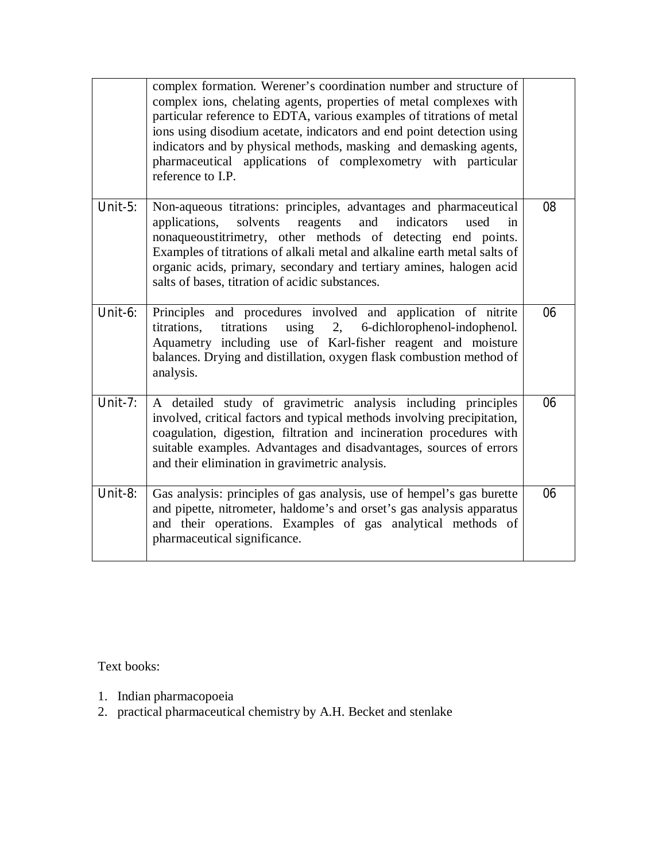|            | complex formation. Werener's coordination number and structure of<br>complex ions, chelating agents, properties of metal complexes with<br>particular reference to EDTA, various examples of titrations of metal<br>ions using disodium acetate, indicators and end point detection using<br>indicators and by physical methods, masking and demasking agents,<br>pharmaceutical applications of complexometry with particular<br>reference to I.P. |    |
|------------|-----------------------------------------------------------------------------------------------------------------------------------------------------------------------------------------------------------------------------------------------------------------------------------------------------------------------------------------------------------------------------------------------------------------------------------------------------|----|
| Unit- $5:$ | Non-aqueous titrations: principles, advantages and pharmaceutical<br>solvents<br>applications,<br>and<br>indicators<br>reagents<br>used<br>in<br>nonaqueoustitrimetry, other methods of detecting end points.<br>Examples of titrations of alkali metal and alkaline earth metal salts of<br>organic acids, primary, secondary and tertiary amines, halogen acid<br>salts of bases, titration of acidic substances.                                 | 08 |
| Unit-6:    | Principles and procedures involved and application of nitrite<br>titrations, titrations using 2, 6-dichlorophenol-indophenol.<br>Aquametry including use of Karl-fisher reagent and moisture<br>balances. Drying and distillation, oxygen flask combustion method of<br>analysis.                                                                                                                                                                   | 06 |
| Unit-7:    | A detailed study of gravimetric analysis including principles<br>involved, critical factors and typical methods involving precipitation,<br>coagulation, digestion, filtration and incineration procedures with<br>suitable examples. Advantages and disadvantages, sources of errors<br>and their elimination in gravimetric analysis.                                                                                                             | 06 |
| Unit-8:    | Gas analysis: principles of gas analysis, use of hempel's gas burette<br>and pipette, nitrometer, haldome's and orset's gas analysis apparatus<br>and their operations. Examples of gas analytical methods of<br>pharmaceutical significance.                                                                                                                                                                                                       | 06 |

Text books:

- 1. Indian pharmacopoeia
- 2. practical pharmaceutical chemistry by A.H. Becket and stenlake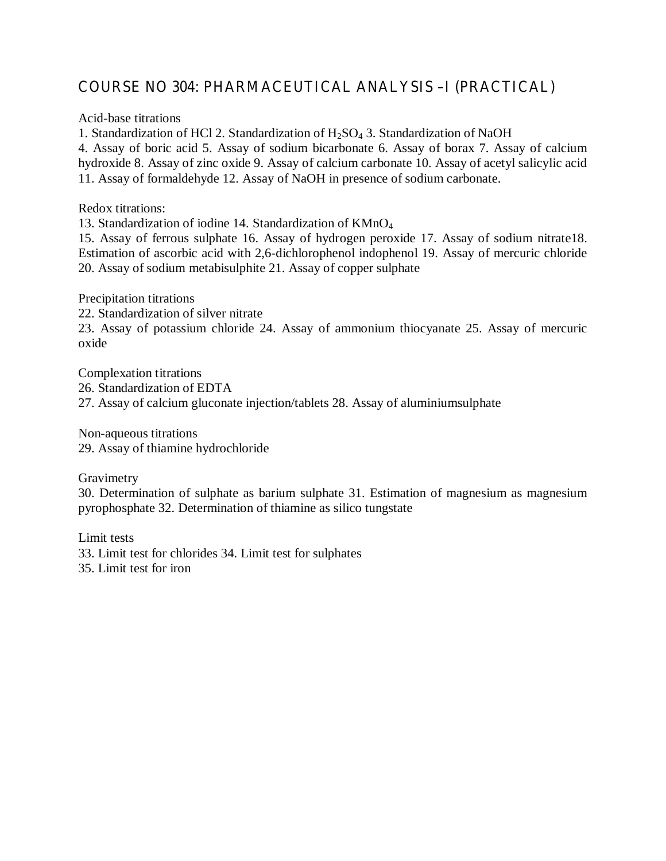# **COURSE NO 304: PHARMACEUTICAL ANALYSIS –I (PRACTICAL)**

Acid-base titrations

1. Standardization of HCl 2. Standardization of  $H_2SO_4$  3. Standardization of NaOH

4. Assay of boric acid 5. Assay of sodium bicarbonate 6. Assay of borax 7. Assay of calcium hydroxide 8. Assay of zinc oxide 9. Assay of calcium carbonate 10. Assay of acetyl salicylic acid 11. Assay of formaldehyde 12. Assay of NaOH in presence of sodium carbonate.

Redox titrations:

13. Standardization of iodine 14. Standardization of KMnO4

15. Assay of ferrous sulphate 16. Assay of hydrogen peroxide 17. Assay of sodium nitrate18. Estimation of ascorbic acid with 2,6-dichlorophenol indophenol 19. Assay of mercuric chloride 20. Assay of sodium metabisulphite 21. Assay of copper sulphate

Precipitation titrations

22. Standardization of silver nitrate

23. Assay of potassium chloride 24. Assay of ammonium thiocyanate 25. Assay of mercuric oxide

Complexation titrations 26. Standardization of EDTA 27. Assay of calcium gluconate injection/tablets 28. Assay of aluminiumsulphate

Non-aqueous titrations 29. Assay of thiamine hydrochloride

Gravimetry

30. Determination of sulphate as barium sulphate 31. Estimation of magnesium as magnesium pyrophosphate 32. Determination of thiamine as silico tungstate

Limit tests 33. Limit test for chlorides 34. Limit test for sulphates 35. Limit test for iron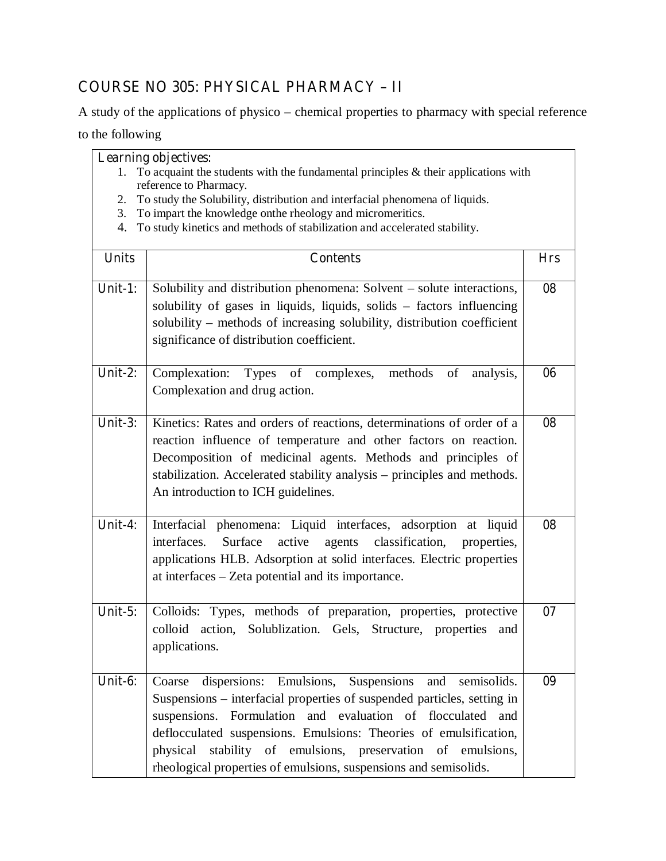# **COURSE NO 305: PHYSICAL PHARMACY – II**

A study of the applications of physico – chemical properties to pharmacy with special reference

to the following

| <b>Learning objectives:</b> |                                                                                                                           |  |
|-----------------------------|---------------------------------------------------------------------------------------------------------------------------|--|
|                             | 1. To acquaint the students with the fundamental principles $\&$ their applications with                                  |  |
|                             | reference to Pharmacy.                                                                                                    |  |
|                             | $\sigma$ . The second control of the second control of the second theory of the second control of $\sigma$ and $\sigma$ . |  |

- 2. To study the Solubility, distribution and interfacial phenomena of liquids.
- 3. To impart the knowledge onthe rheology and micromeritics.
- 4. To study kinetics and methods of stabilization and accelerated stability.

| <b>Units</b> | <b>Contents</b>                                                                                                                                                                                                                                                                                                                                                                                                         | <b>Hrs</b> |
|--------------|-------------------------------------------------------------------------------------------------------------------------------------------------------------------------------------------------------------------------------------------------------------------------------------------------------------------------------------------------------------------------------------------------------------------------|------------|
| Unit-1:      | Solubility and distribution phenomena: Solvent – solute interactions,<br>solubility of gases in liquids, liquids, solids - factors influencing<br>solubility - methods of increasing solubility, distribution coefficient<br>significance of distribution coefficient.                                                                                                                                                  | 08         |
| Unit-2:      | Complexation: Types of complexes, methods of<br>analysis,<br>Complexation and drug action.                                                                                                                                                                                                                                                                                                                              | 06         |
| Unit- $3:$   | Kinetics: Rates and orders of reactions, determinations of order of a<br>reaction influence of temperature and other factors on reaction.<br>Decomposition of medicinal agents. Methods and principles of<br>stabilization. Accelerated stability analysis – principles and methods.<br>An introduction to ICH guidelines.                                                                                              | 08         |
| Unit-4:      | Interfacial phenomena: Liquid interfaces, adsorption at liquid<br>active<br>interfaces.<br>Surface<br>classification,<br>agents<br>properties,<br>applications HLB. Adsorption at solid interfaces. Electric properties<br>at interfaces – Zeta potential and its importance.                                                                                                                                           | 08         |
| Unit- $5:$   | Colloids: Types, methods of preparation, properties, protective<br>colloid action, Solublization. Gels, Structure, properties<br>and<br>applications.                                                                                                                                                                                                                                                                   | 07         |
| Unit-6:      | dispersions: Emulsions, Suspensions<br>and semisolids.<br>Coarse<br>Suspensions – interfacial properties of suspended particles, setting in<br>suspensions. Formulation and evaluation of flocculated<br>and<br>deflocculated suspensions. Emulsions: Theories of emulsification,<br>stability of emulsions, preservation of emulsions,<br>physical<br>rheological properties of emulsions, suspensions and semisolids. | 09         |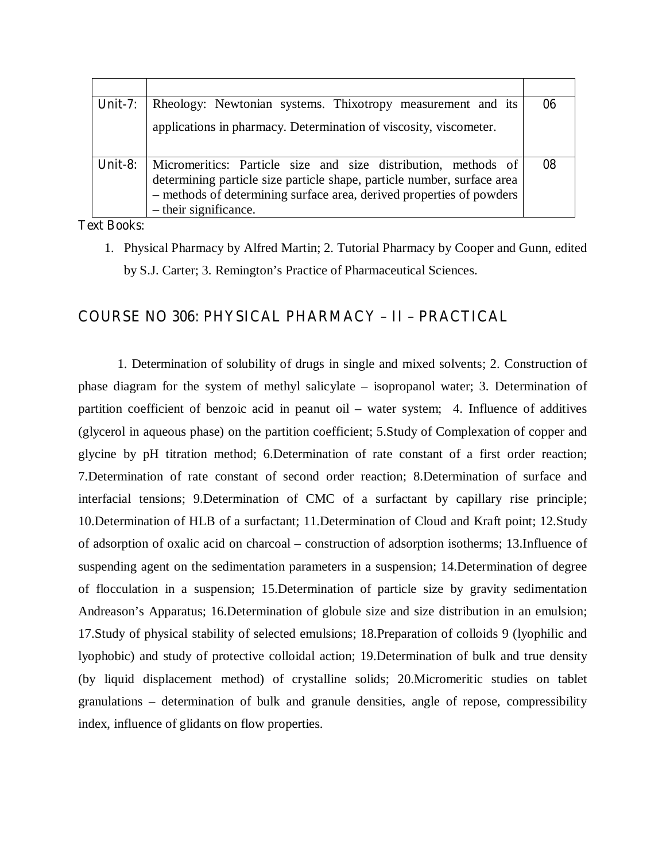| Unit-7: | Rheology: Newtonian systems. Thixotropy measurement and its                                                                                                                                                                                | 06 |
|---------|--------------------------------------------------------------------------------------------------------------------------------------------------------------------------------------------------------------------------------------------|----|
|         | applications in pharmacy. Determination of viscosity, viscometer.                                                                                                                                                                          |    |
| Unit-8: | Micromeritics: Particle size and size distribution, methods of<br>determining particle size particle shape, particle number, surface area<br>- methods of determining surface area, derived properties of powders<br>- their significance. | 08 |

#### **Text Books:**

1. Physical Pharmacy by Alfred Martin; 2. Tutorial Pharmacy by Cooper and Gunn, edited by S.J. Carter; 3. Remington's Practice of Pharmaceutical Sciences.

# **COURSE NO 306: PHYSICAL PHARMACY – II – PRACTICAL**

 1. Determination of solubility of drugs in single and mixed solvents; 2. Construction of phase diagram for the system of methyl salicylate – isopropanol water; 3. Determination of partition coefficient of benzoic acid in peanut oil – water system; 4. Influence of additives (glycerol in aqueous phase) on the partition coefficient; 5.Study of Complexation of copper and glycine by pH titration method; 6.Determination of rate constant of a first order reaction; 7.Determination of rate constant of second order reaction; 8.Determination of surface and interfacial tensions; 9.Determination of CMC of a surfactant by capillary rise principle; 10.Determination of HLB of a surfactant; 11.Determination of Cloud and Kraft point; 12.Study of adsorption of oxalic acid on charcoal – construction of adsorption isotherms; 13.Influence of suspending agent on the sedimentation parameters in a suspension; 14.Determination of degree of flocculation in a suspension; 15.Determination of particle size by gravity sedimentation Andreason's Apparatus; 16.Determination of globule size and size distribution in an emulsion; 17.Study of physical stability of selected emulsions; 18.Preparation of colloids 9 (lyophilic and lyophobic) and study of protective colloidal action; 19.Determination of bulk and true density (by liquid displacement method) of crystalline solids; 20.Micromeritic studies on tablet granulations – determination of bulk and granule densities, angle of repose, compressibility index, influence of glidants on flow properties.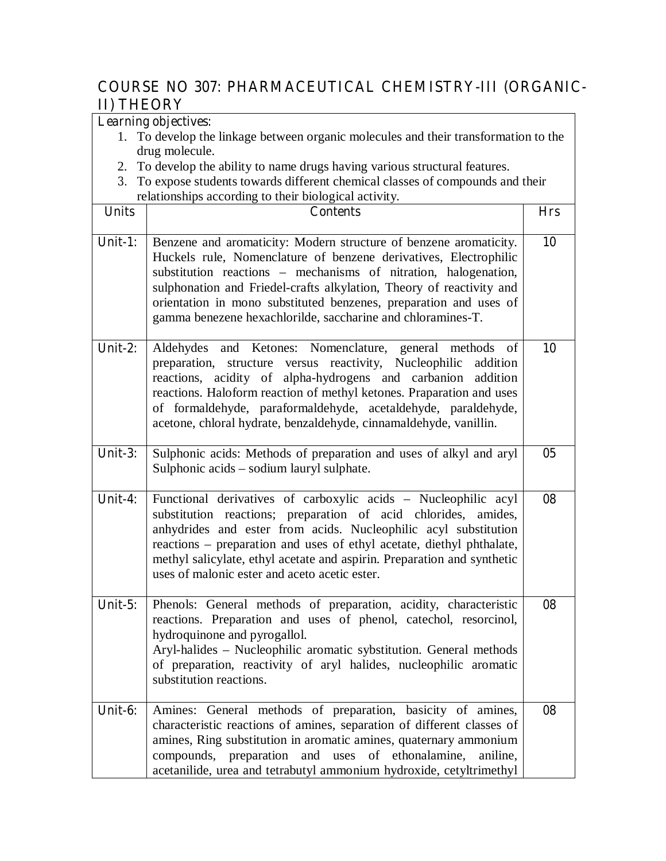# **COURSE NO 307: PHARMACEUTICAL CHEMISTRY-III (ORGANIC-II) THEORY**

|              | <b>Learning objectives:</b>                                                                                                                                                                                                                                                                                                                                                                                          |                |
|--------------|----------------------------------------------------------------------------------------------------------------------------------------------------------------------------------------------------------------------------------------------------------------------------------------------------------------------------------------------------------------------------------------------------------------------|----------------|
|              | 1. To develop the linkage between organic molecules and their transformation to the                                                                                                                                                                                                                                                                                                                                  |                |
|              | drug molecule.                                                                                                                                                                                                                                                                                                                                                                                                       |                |
|              | 2. To develop the ability to name drugs having various structural features.                                                                                                                                                                                                                                                                                                                                          |                |
| 3.           | To expose students towards different chemical classes of compounds and their                                                                                                                                                                                                                                                                                                                                         |                |
|              | relationships according to their biological activity.                                                                                                                                                                                                                                                                                                                                                                |                |
| <b>Units</b> | <b>Contents</b>                                                                                                                                                                                                                                                                                                                                                                                                      | <b>Hrs</b>     |
| Unit-1:      | Benzene and aromaticity: Modern structure of benzene aromaticity.<br>Huckels rule, Nomenclature of benzene derivatives, Electrophilic<br>substitution reactions – mechanisms of nitration, halogenation,<br>sulphonation and Friedel-crafts alkylation, Theory of reactivity and<br>orientation in mono substituted benzenes, preparation and uses of<br>gamma benezene hexachlorilde, saccharine and chloramines-T. | 10             |
| Unit-2:      | Aldehydes and Ketones: Nomenclature, general methods of<br>preparation, structure versus reactivity, Nucleophilic addition<br>reactions, acidity of alpha-hydrogens and carbanion addition<br>reactions. Haloform reaction of methyl ketones. Praparation and uses<br>of formaldehyde, paraformaldehyde, acetaldehyde, paraldehyde,<br>acetone, chloral hydrate, benzaldehyde, cinnamaldehyde, vanillin.             | 10             |
| Unit- $3:$   | Sulphonic acids: Methods of preparation and uses of alkyl and aryl<br>Sulphonic acids – sodium lauryl sulphate.                                                                                                                                                                                                                                                                                                      | 0 <sub>5</sub> |
| Unit-4:      | Functional derivatives of carboxylic acids - Nucleophilic acyl<br>substitution reactions; preparation of acid chlorides, amides,<br>anhydrides and ester from acids. Nucleophilic acyl substitution<br>reactions - preparation and uses of ethyl acetate, diethyl phthalate,<br>methyl salicylate, ethyl acetate and aspirin. Preparation and synthetic<br>uses of malonic ester and aceto acetic ester.             | 08             |
| Unit- $5:$   | Phenols: General methods of preparation, acidity, characteristic<br>reactions. Preparation and uses of phenol, catechol, resorcinol,<br>hydroquinone and pyrogallol.<br>Aryl-halides - Nucleophilic aromatic sybstitution. General methods<br>of preparation, reactivity of aryl halides, nucleophilic aromatic<br>substitution reactions.                                                                           | 08             |
| Unit-6:      | Amines: General methods of preparation, basicity of amines,<br>characteristic reactions of amines, separation of different classes of<br>amines, Ring substitution in aromatic amines, quaternary ammonium<br>compounds, preparation and uses of ethonalamine,<br>aniline,<br>acetanilide, urea and tetrabutyl ammonium hydroxide, cetyltrimethyl                                                                    | 08             |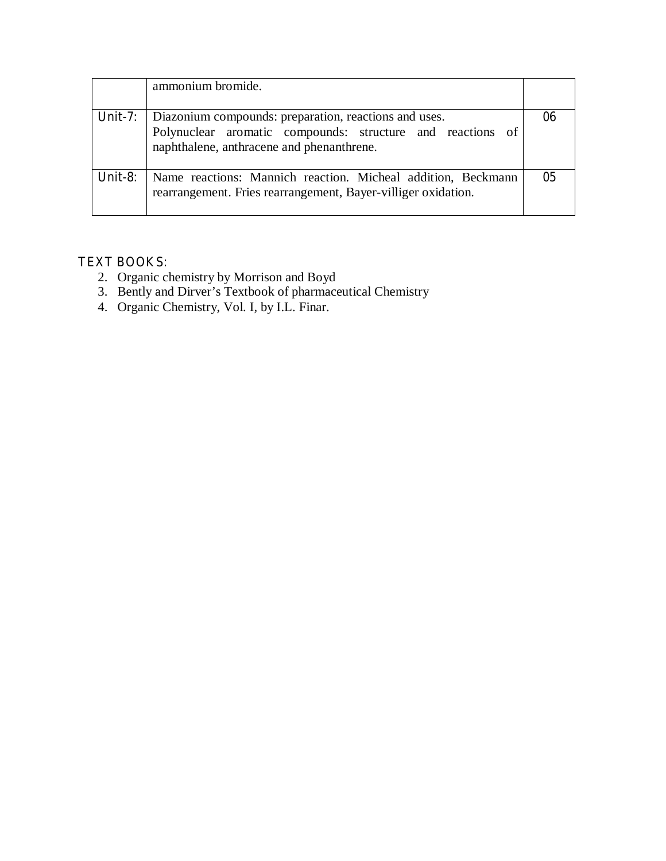|         | ammonium bromide.                                                                                                                                                |    |
|---------|------------------------------------------------------------------------------------------------------------------------------------------------------------------|----|
| Unit-7: | Diazonium compounds: preparation, reactions and uses.<br>Polynuclear aromatic compounds: structure and reactions of<br>naphthalene, anthracene and phenanthrene. |    |
| Unit-8: | Name reactions: Mannich reaction. Micheal addition, Beckmann<br>rearrangement. Fries rearrangement, Bayer-villiger oxidation.                                    | 05 |

## **TEXT BOOKS:**

- 2. Organic chemistry by Morrison and Boyd
- 3. Bently and Dirver's Textbook of pharmaceutical Chemistry
- 4. Organic Chemistry, Vol. I, by I.L. Finar.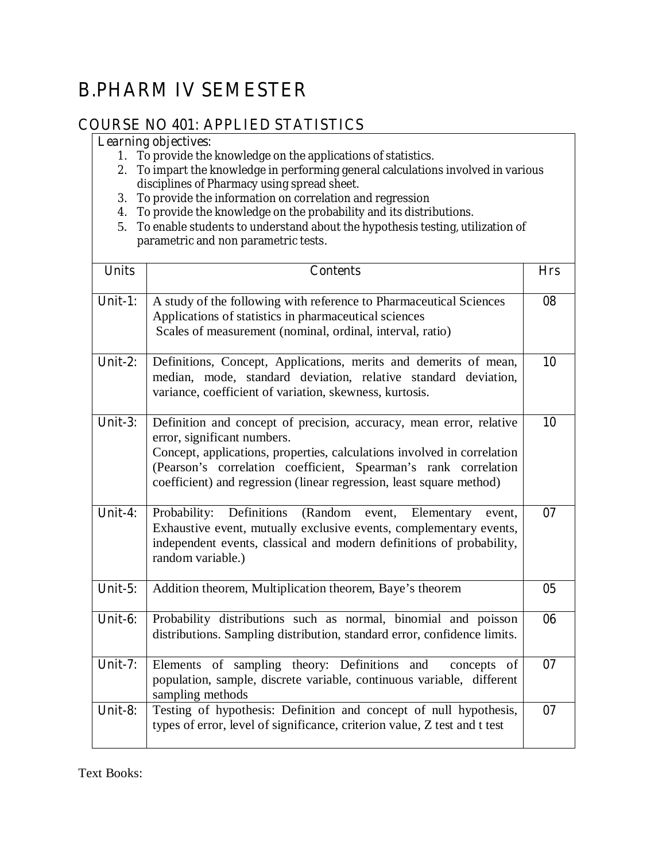# **B.PHARM IV SEMESTER**

# **COURSE NO 401: APPLIED STATISTICS**

### **Learning objectives:**

- 1. To provide the knowledge on the applications of statistics.
- 2. To impart the knowledge in performing general calculations involved in various disciplines of Pharmacy using spread sheet.
- 3. To provide the information on correlation and regression
- 4. To provide the knowledge on the probability and its distributions.
- 5. To enable students to understand about the hypothesis testing, utilization of parametric and non parametric tests.

| <b>Units</b> | <b>Contents</b>                                                                                                                                                                                                                                                                                                          | <b>Hrs</b>     |
|--------------|--------------------------------------------------------------------------------------------------------------------------------------------------------------------------------------------------------------------------------------------------------------------------------------------------------------------------|----------------|
| Unit-1:      | A study of the following with reference to Pharmaceutical Sciences<br>Applications of statistics in pharmaceutical sciences<br>Scales of measurement (nominal, ordinal, interval, ratio)                                                                                                                                 | 08             |
| Unit-2:      | Definitions, Concept, Applications, merits and demerits of mean,<br>median, mode, standard deviation, relative standard deviation,<br>variance, coefficient of variation, skewness, kurtosis.                                                                                                                            | 10             |
| Unit-3:      | Definition and concept of precision, accuracy, mean error, relative<br>error, significant numbers.<br>Concept, applications, properties, calculations involved in correlation<br>(Pearson's correlation coefficient, Spearman's rank correlation<br>coefficient) and regression (linear regression, least square method) | 10             |
| Unit-4:      | Probability: Definitions<br>(Random event, Elementary<br>event,<br>Exhaustive event, mutually exclusive events, complementary events,<br>independent events, classical and modern definitions of probability,<br>random variable.)                                                                                       | 07             |
| Unit- $5:$   | Addition theorem, Multiplication theorem, Baye's theorem                                                                                                                                                                                                                                                                 | 0 <sub>5</sub> |
| Unit-6:      | Probability distributions such as normal, binomial and poisson<br>distributions. Sampling distribution, standard error, confidence limits.                                                                                                                                                                               | 06             |
| Unit-7:      | Elements of sampling theory: Definitions and concepts of<br>population, sample, discrete variable, continuous variable, different<br>sampling methods                                                                                                                                                                    | 07             |
| Unit-8:      | Testing of hypothesis: Definition and concept of null hypothesis,<br>types of error, level of significance, criterion value, Z test and t test                                                                                                                                                                           | 07             |

Text Books: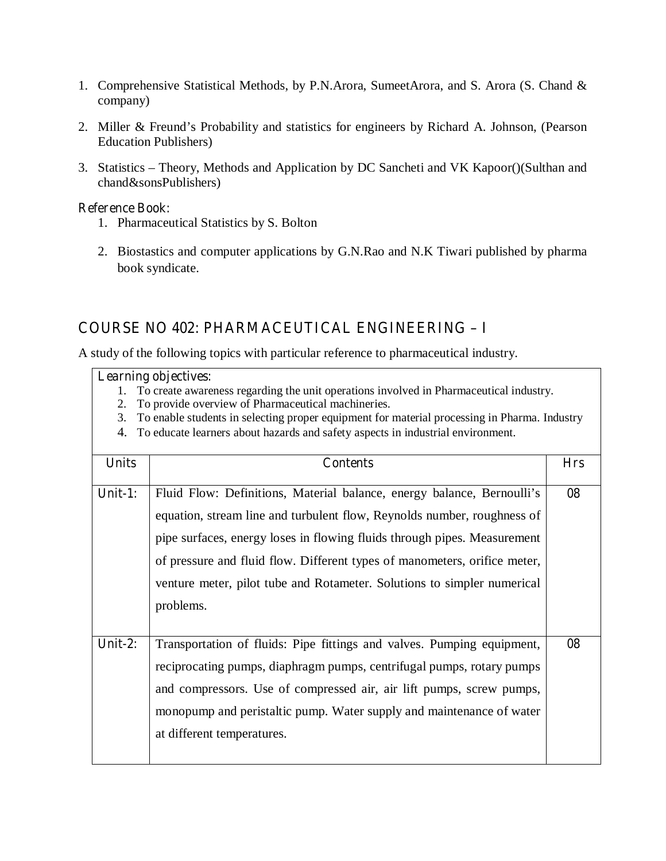- 1. Comprehensive Statistical Methods, by P.N.Arora, SumeetArora, and S. Arora (S. Chand & company)
- 2. Miller & Freund's Probability and statistics for engineers by Richard A. Johnson, (Pearson Education Publishers)
- 3. Statistics Theory, Methods and Application by DC Sancheti and VK Kapoor()(Sulthan and chand&sonsPublishers)

#### **Reference Book:**

- 1. Pharmaceutical Statistics by S. Bolton
- 2. Biostastics and computer applications by G.N.Rao and N.K Tiwari published by pharma book syndicate.

## **COURSE NO 402: PHARMACEUTICAL ENGINEERING – I**

A study of the following topics with particular reference to pharmaceutical industry.

- 1. To create awareness regarding the unit operations involved in Pharmaceutical industry.
- 2. To provide overview of Pharmaceutical machineries.
- 3. To enable students in selecting proper equipment for material processing in Pharma. Industry
- 4. To educate learners about hazards and safety aspects in industrial environment.

| <b>Units</b> | <b>Contents</b>                                                                                                                                                                                                                                                                                                                                                                                    | <b>Hrs</b> |
|--------------|----------------------------------------------------------------------------------------------------------------------------------------------------------------------------------------------------------------------------------------------------------------------------------------------------------------------------------------------------------------------------------------------------|------------|
| Unit-1:      | Fluid Flow: Definitions, Material balance, energy balance, Bernoulli's<br>equation, stream line and turbulent flow, Reynolds number, roughness of<br>pipe surfaces, energy loses in flowing fluids through pipes. Measurement<br>of pressure and fluid flow. Different types of manometers, orifice meter,<br>venture meter, pilot tube and Rotameter. Solutions to simpler numerical<br>problems. | 08         |
| Unit-2:      | Transportation of fluids: Pipe fittings and valves. Pumping equipment,<br>reciprocating pumps, diaphragm pumps, centrifugal pumps, rotary pumps<br>and compressors. Use of compressed air, air lift pumps, screw pumps,<br>monopump and peristaltic pump. Water supply and maintenance of water<br>at different temperatures.                                                                      | 08         |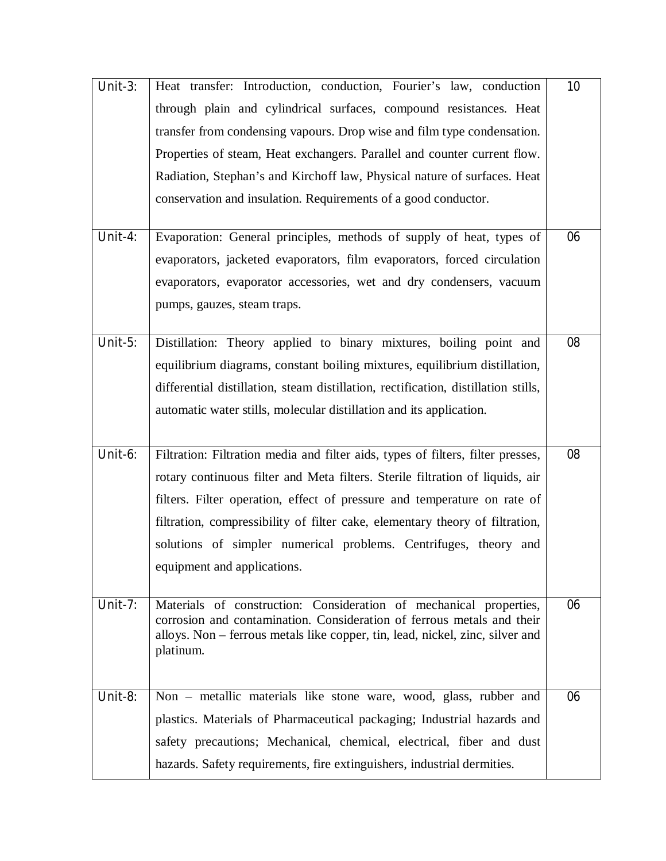| Unit- $3:$ | Heat transfer: Introduction, conduction, Fourier's law, conduction                                                                              | <b>10</b> |
|------------|-------------------------------------------------------------------------------------------------------------------------------------------------|-----------|
|            | through plain and cylindrical surfaces, compound resistances. Heat                                                                              |           |
|            | transfer from condensing vapours. Drop wise and film type condensation.                                                                         |           |
|            | Properties of steam, Heat exchangers. Parallel and counter current flow.                                                                        |           |
|            | Radiation, Stephan's and Kirchoff law, Physical nature of surfaces. Heat                                                                        |           |
|            | conservation and insulation. Requirements of a good conductor.                                                                                  |           |
|            |                                                                                                                                                 |           |
| Unit-4:    | Evaporation: General principles, methods of supply of heat, types of                                                                            | 06        |
|            | evaporators, jacketed evaporators, film evaporators, forced circulation                                                                         |           |
|            | evaporators, evaporator accessories, wet and dry condensers, vacuum                                                                             |           |
|            | pumps, gauzes, steam traps.                                                                                                                     |           |
|            |                                                                                                                                                 |           |
| Unit-5:    | Distillation: Theory applied to binary mixtures, boiling point and                                                                              | 08        |
|            | equilibrium diagrams, constant boiling mixtures, equilibrium distillation,                                                                      |           |
|            | differential distillation, steam distillation, rectification, distillation stills,                                                              |           |
|            | automatic water stills, molecular distillation and its application.                                                                             |           |
|            |                                                                                                                                                 |           |
| Unit-6:    | Filtration: Filtration media and filter aids, types of filters, filter presses,                                                                 | 08        |
|            | rotary continuous filter and Meta filters. Sterile filtration of liquids, air                                                                   |           |
|            | filters. Filter operation, effect of pressure and temperature on rate of                                                                        |           |
|            | filtration, compressibility of filter cake, elementary theory of filtration,                                                                    |           |
|            | solutions of simpler numerical problems. Centrifuges, theory and                                                                                |           |
|            | equipment and applications.                                                                                                                     |           |
|            |                                                                                                                                                 |           |
|            |                                                                                                                                                 |           |
| Unit-7:    | Materials of construction: Consideration of mechanical properties,<br>corrosion and contamination. Consideration of ferrous metals and their    | 06        |
|            | alloys. Non - ferrous metals like copper, tin, lead, nickel, zinc, silver and                                                                   |           |
|            | platinum.                                                                                                                                       |           |
|            |                                                                                                                                                 |           |
| Unit-8:    | Non – metallic materials like stone ware, wood, glass, rubber and                                                                               | 06        |
|            | plastics. Materials of Pharmaceutical packaging; Industrial hazards and                                                                         |           |
|            | safety precautions; Mechanical, chemical, electrical, fiber and dust<br>hazards. Safety requirements, fire extinguishers, industrial dermities. |           |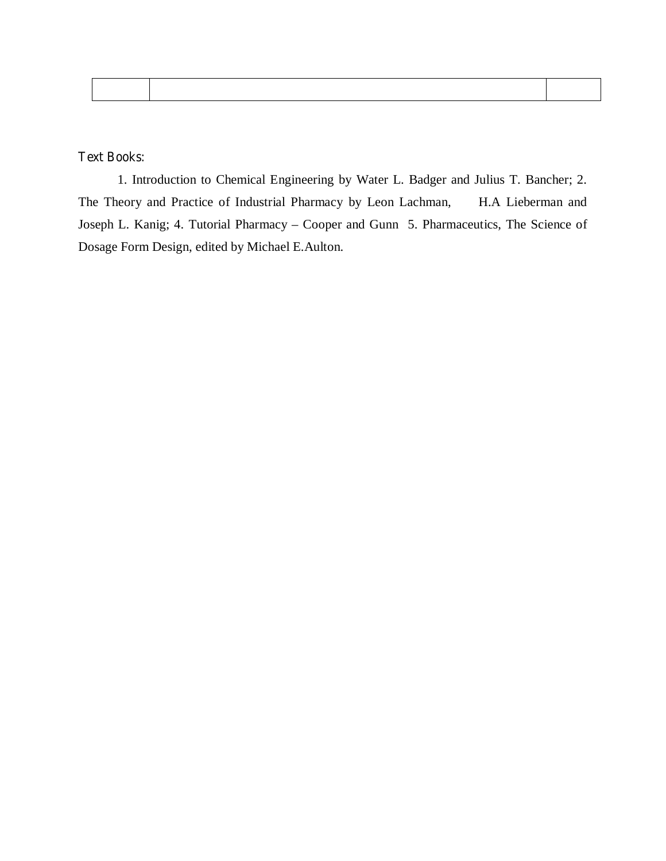#### **Text Books:**

 1. Introduction to Chemical Engineering by Water L. Badger and Julius T. Bancher; 2. The Theory and Practice of Industrial Pharmacy by Leon Lachman, H.A Lieberman and Joseph L. Kanig; 4. Tutorial Pharmacy – Cooper and Gunn 5. Pharmaceutics, The Science of Dosage Form Design, edited by Michael E.Aulton.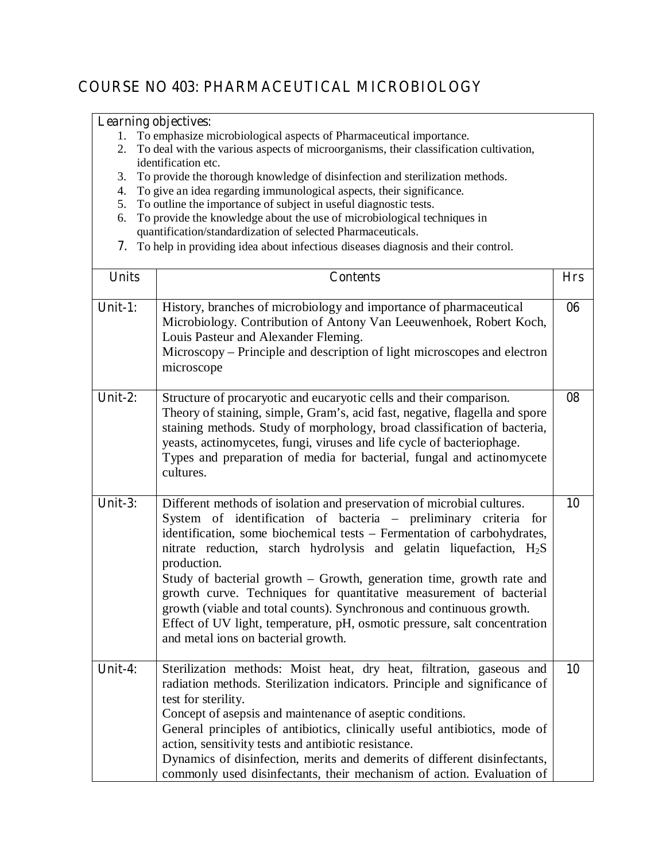# **COURSE NO 403: PHARMACEUTICAL MICROBIOLOGY**

- 1. To emphasize microbiological aspects of Pharmaceutical importance.
- 2. To deal with the various aspects of microorganisms, their classification cultivation, identification etc.
- 3. To provide the thorough knowledge of disinfection and sterilization methods.
- 4. To give an idea regarding immunological aspects, their significance.
- 5. To outline the importance of subject in useful diagnostic tests.
- 6. To provide the knowledge about the use of microbiological techniques in quantification/standardization of selected Pharmaceuticals.
- **7.** To help in providing idea about infectious diseases diagnosis and their control.

| <b>Units</b> | <b>Contents</b>                                                                                                                                                                                                                                                                                                                                                                                                                                                                                                                                                                                                                                                  | <b>Hrs</b> |
|--------------|------------------------------------------------------------------------------------------------------------------------------------------------------------------------------------------------------------------------------------------------------------------------------------------------------------------------------------------------------------------------------------------------------------------------------------------------------------------------------------------------------------------------------------------------------------------------------------------------------------------------------------------------------------------|------------|
| Unit-1:      | History, branches of microbiology and importance of pharmaceutical<br>Microbiology. Contribution of Antony Van Leeuwenhoek, Robert Koch,<br>Louis Pasteur and Alexander Fleming.<br>Microscopy – Principle and description of light microscopes and electron<br>microscope                                                                                                                                                                                                                                                                                                                                                                                       | 06         |
| Unit-2:      | Structure of procaryotic and eucaryotic cells and their comparison.<br>Theory of staining, simple, Gram's, acid fast, negative, flagella and spore<br>staining methods. Study of morphology, broad classification of bacteria,<br>yeasts, actinomycetes, fungi, viruses and life cycle of bacteriophage.<br>Types and preparation of media for bacterial, fungal and actinomycete<br>cultures.                                                                                                                                                                                                                                                                   | 08         |
| Unit- $3:$   | Different methods of isolation and preservation of microbial cultures.<br>System of identification of bacteria - preliminary criteria for<br>identification, some biochemical tests - Fermentation of carbohydrates,<br>nitrate reduction, starch hydrolysis and gelatin liquefaction, H <sub>2</sub> S<br>production.<br>Study of bacterial growth – Growth, generation time, growth rate and<br>growth curve. Techniques for quantitative measurement of bacterial<br>growth (viable and total counts). Synchronous and continuous growth.<br>Effect of UV light, temperature, pH, osmotic pressure, salt concentration<br>and metal ions on bacterial growth. | 10         |
| Unit-4:      | Sterilization methods: Moist heat, dry heat, filtration, gaseous and<br>radiation methods. Sterilization indicators. Principle and significance of<br>test for sterility.<br>Concept of asepsis and maintenance of aseptic conditions.<br>General principles of antibiotics, clinically useful antibiotics, mode of<br>action, sensitivity tests and antibiotic resistance.<br>Dynamics of disinfection, merits and demerits of different disinfectants,<br>commonly used disinfectants, their mechanism of action. Evaluation of                                                                                                                                | 10         |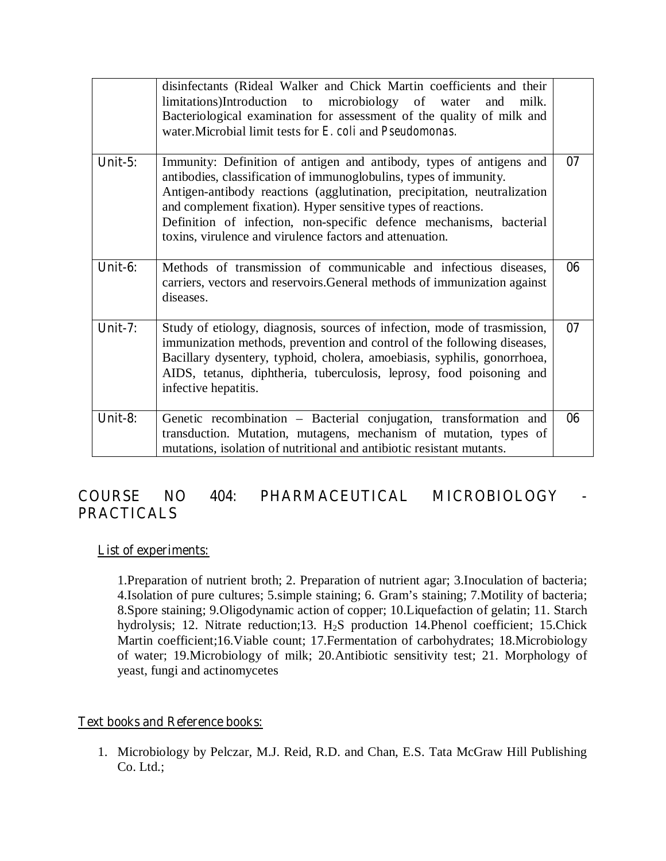|            | disinfectants (Rideal Walker and Chick Martin coefficients and their<br>limitations)Introduction to microbiology of water<br>milk.<br>and<br>Bacteriological examination for assessment of the quality of milk and<br>water. Microbial limit tests for E. coli and Pseudomonas.                                                                                                                                          |    |
|------------|--------------------------------------------------------------------------------------------------------------------------------------------------------------------------------------------------------------------------------------------------------------------------------------------------------------------------------------------------------------------------------------------------------------------------|----|
| Unit- $5:$ | Immunity: Definition of antigen and antibody, types of antigens and<br>antibodies, classification of immunoglobulins, types of immunity.<br>Antigen-antibody reactions (agglutination, precipitation, neutralization<br>and complement fixation). Hyper sensitive types of reactions.<br>Definition of infection, non-specific defence mechanisms, bacterial<br>toxins, virulence and virulence factors and attenuation. | 07 |
| Unit-6:    | Methods of transmission of communicable and infectious diseases,<br>carriers, vectors and reservoirs. General methods of immunization against<br>diseases.                                                                                                                                                                                                                                                               | 06 |
| Unit-7:    | Study of etiology, diagnosis, sources of infection, mode of trasmission,<br>immunization methods, prevention and control of the following diseases,<br>Bacillary dysentery, typhoid, cholera, amoebiasis, syphilis, gonorrhoea,<br>AIDS, tetanus, diphtheria, tuberculosis, leprosy, food poisoning and<br>infective hepatitis.                                                                                          | 07 |
| Unit-8:    | Genetic recombination - Bacterial conjugation, transformation and<br>transduction. Mutation, mutagens, mechanism of mutation, types of<br>mutations, isolation of nutritional and antibiotic resistant mutants.                                                                                                                                                                                                          | 06 |

# **COURSE NO 404***:* **PHARMACEUTICAL MICROBIOLOGY - PRACTICALS**

#### **List of experiments:**

1.Preparation of nutrient broth; 2. Preparation of nutrient agar; 3.Inoculation of bacteria; 4.Isolation of pure cultures; 5.simple staining; 6. Gram's staining; 7.Motility of bacteria; 8.Spore staining; 9.Oligodynamic action of copper; 10.Liquefaction of gelatin; 11. Starch hydrolysis; 12. Nitrate reduction;13. H<sub>2</sub>S production 14. Phenol coefficient; 15. Chick Martin coefficient;16.Viable count; 17.Fermentation of carbohydrates; 18.Microbiology of water; 19.Microbiology of milk; 20.Antibiotic sensitivity test; 21. Morphology of yeast, fungi and actinomycetes

#### **Text books and Reference books:**

1. Microbiology by Pelczar, M.J. Reid, R.D. and Chan, E.S. Tata McGraw Hill Publishing Co. Ltd.;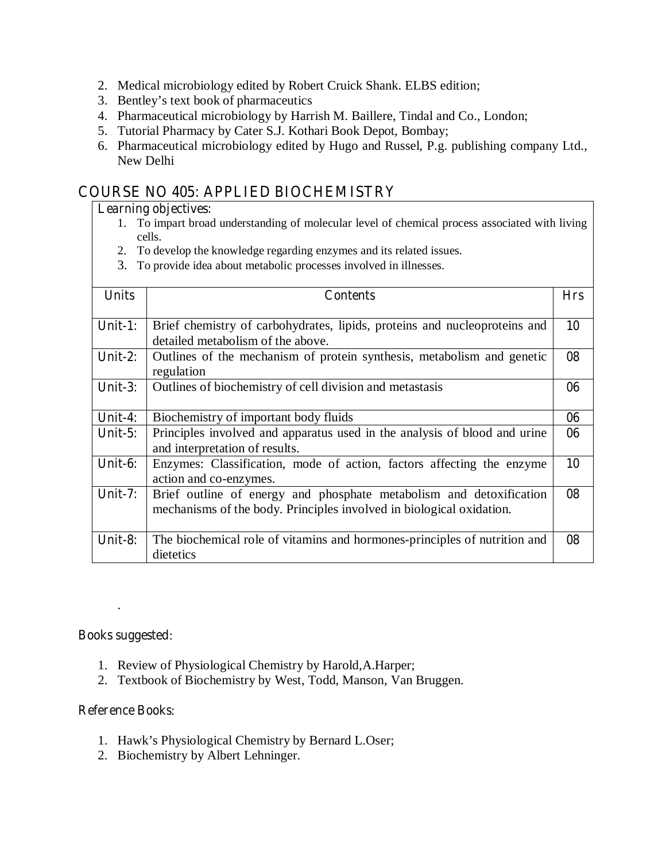- 2. Medical microbiology edited by Robert Cruick Shank. ELBS edition;
- 3. Bentley's text book of pharmaceutics
- 4. Pharmaceutical microbiology by Harrish M. Baillere, Tindal and Co., London;
- 5. Tutorial Pharmacy by Cater S.J. Kothari Book Depot, Bombay;
- 6. Pharmaceutical microbiology edited by Hugo and Russel, P.g. publishing company Ltd., New Delhi

# **COURSE NO 405: APPLIED BIOCHEMISTRY**

#### **Learning objectives:**

- 1. To impart broad understanding of molecular level of chemical process associated with living cells.
- 2. To develop the knowledge regarding enzymes and its related issues.
- 3. To provide idea about metabolic processes involved in illnesses.

| <b>Units</b> | <b>Contents</b>                                                           | <b>Hrs</b> |
|--------------|---------------------------------------------------------------------------|------------|
|              |                                                                           |            |
| Unit-1:      | Brief chemistry of carbohydrates, lipids, proteins and nucleoproteins and | 10         |
|              | detailed metabolism of the above.                                         |            |
| Unit- $2:$   | Outlines of the mechanism of protein synthesis, metabolism and genetic    | 08         |
|              | regulation                                                                |            |
| Unit- $3:$   | Outlines of biochemistry of cell division and metastasis                  | 06         |
|              |                                                                           |            |
| Unit-4:      | Biochemistry of important body fluids                                     | 06         |
| Unit- $5:$   | Principles involved and apparatus used in the analysis of blood and urine | 06         |
|              | and interpretation of results.                                            |            |
| Unit-6:      | Enzymes: Classification, mode of action, factors affecting the enzyme     | 10         |
|              | action and co-enzymes.                                                    |            |
| Unit- $7:$   | Brief outline of energy and phosphate metabolism and detoxification       | 08         |
|              | mechanisms of the body. Principles involved in biological oxidation.      |            |
|              |                                                                           |            |
| Unit-8:      | The biochemical role of vitamins and hormones-principles of nutrition and | 08         |
|              | dietetics                                                                 |            |

#### **Books suggested**:

.

- 1. Review of Physiological Chemistry by Harold,A.Harper;
- 2. Textbook of Biochemistry by West, Todd, Manson, Van Bruggen.

#### **Reference Books**:

- 1. Hawk's Physiological Chemistry by Bernard L.Oser;
- 2. Biochemistry by Albert Lehninger.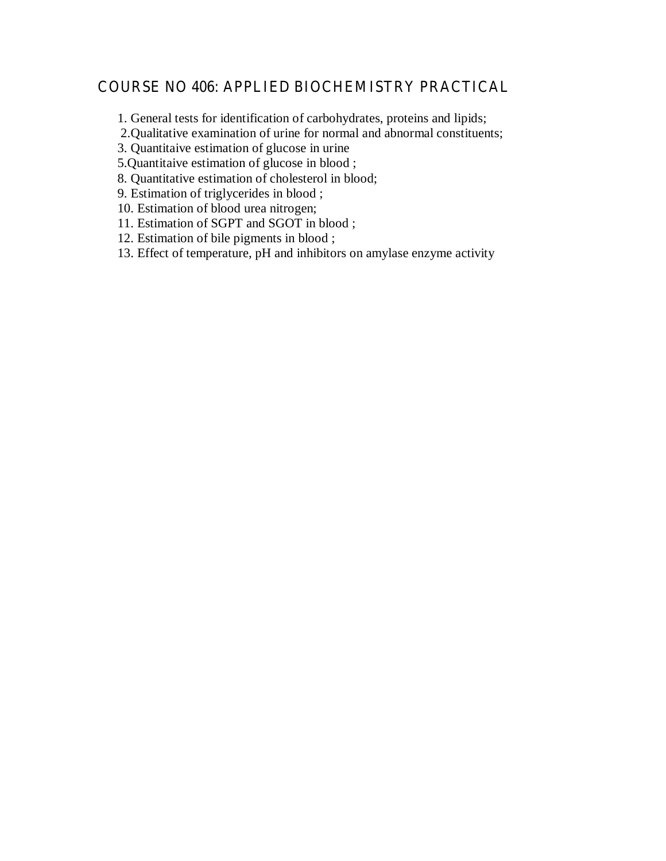## **COURSE NO 406: APPLIED BIOCHEMISTRY PRACTICAL**

1. General tests for identification of carbohydrates, proteins and lipids;

2.Qualitative examination of urine for normal and abnormal constituents;

3. Quantitaive estimation of glucose in urine

5.Quantitaive estimation of glucose in blood ;

8. Quantitative estimation of cholesterol in blood;

9. Estimation of triglycerides in blood ;

10. Estimation of blood urea nitrogen;

11. Estimation of SGPT and SGOT in blood ;

12. Estimation of bile pigments in blood ;

13. Effect of temperature, pH and inhibitors on amylase enzyme activity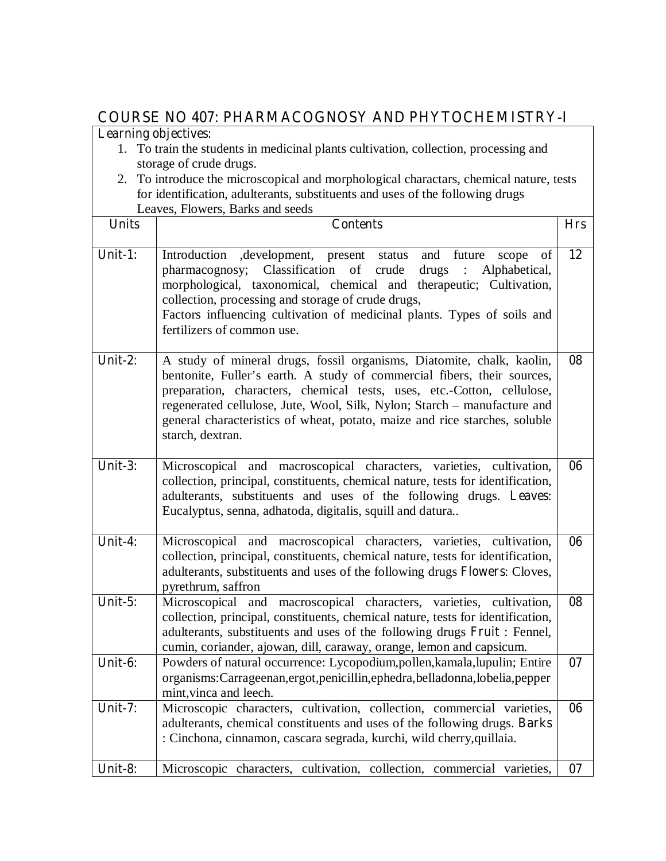# **COURSE NO 407: PHARMACOGNOSY AND PHYTOCHEMISTRY-I**

- 1. To train the students in medicinal plants cultivation, collection, processing and storage of crude drugs.
- 2. To introduce the microscopical and morphological charactars, chemical nature, tests for identification, adulterants, substituents and uses of the following drugs Leaves, Flowers, Barks and seeds

| <b>Units</b> | $1.16$ $\mu$ $0.5$ , $D$ and $D$ $D$ $D$ $D$<br><b>Contents</b>                                                                                                                                                                                                                                                                                                                                          | <b>Hrs</b> |
|--------------|----------------------------------------------------------------------------------------------------------------------------------------------------------------------------------------------------------------------------------------------------------------------------------------------------------------------------------------------------------------------------------------------------------|------------|
| Unit-1:      | Introduction , development, present status<br>and<br>future<br>scope<br>of<br>Classification of crude<br>pharmacognosy;<br>drugs:<br>Alphabetical,<br>morphological, taxonomical, chemical and therapeutic; Cultivation,<br>collection, processing and storage of crude drugs,<br>Factors influencing cultivation of medicinal plants. Types of soils and<br>fertilizers of common use.                  | 12         |
| Unit-2:      | A study of mineral drugs, fossil organisms, Diatomite, chalk, kaolin,<br>bentonite, Fuller's earth. A study of commercial fibers, their sources,<br>preparation, characters, chemical tests, uses, etc.-Cotton, cellulose,<br>regenerated cellulose, Jute, Wool, Silk, Nylon; Starch - manufacture and<br>general characteristics of wheat, potato, maize and rice starches, soluble<br>starch, dextran. | 08         |
| Unit-3:      | Microscopical and macroscopical characters, varieties, cultivation,<br>collection, principal, constituents, chemical nature, tests for identification,<br>adulterants, substituents and uses of the following drugs. Leaves:<br>Eucalyptus, senna, adhatoda, digitalis, squill and datura                                                                                                                | 06         |
| Unit-4:      | Microscopical and macroscopical characters, varieties, cultivation,<br>collection, principal, constituents, chemical nature, tests for identification,<br>adulterants, substituents and uses of the following drugs Flowers: Cloves,<br>pyrethrum, saffron                                                                                                                                               | 06         |
| Unit-5:      | Microscopical and macroscopical characters, varieties, cultivation,<br>collection, principal, constituents, chemical nature, tests for identification,<br>adulterants, substituents and uses of the following drugs Fruit : Fennel,<br>cumin, coriander, ajowan, dill, caraway, orange, lemon and capsicum.                                                                                              | 08         |
| Unit-6:      | Powders of natural occurrence: Lycopodium,pollen,kamala,lupulin; Entire<br>organisms: Carrageenan, ergot, penicillin, ephedra, belladonna, lobelia, pepper<br>mint, vinca and leech.                                                                                                                                                                                                                     | 07         |
| Unit-7:      | Microscopic characters, cultivation, collection, commercial varieties,<br>adulterants, chemical constituents and uses of the following drugs. Barks<br>: Cinchona, cinnamon, cascara segrada, kurchi, wild cherry, quillaia.                                                                                                                                                                             | 06         |
| Unit-8:      | Microscopic characters, cultivation, collection, commercial varieties,                                                                                                                                                                                                                                                                                                                                   | 07         |